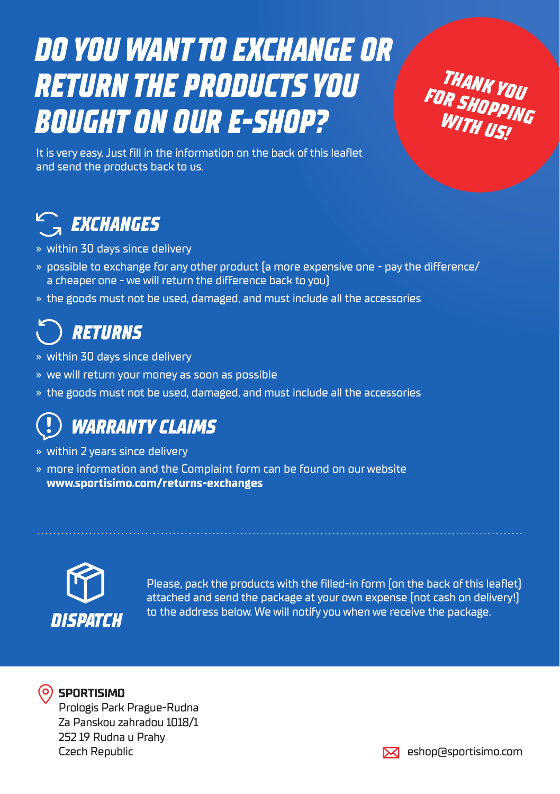# *DO YOU WANT TO EXCHANGE OR RETURN THE PRODUCTS YOU BOUGHT ON OUR E-SHOP?*

*THANK YOU FOR SHOPPING WITH US!*

It is very easy. Just fill in the information on the back of this leaflet and send the products back to us.

## *EXCHANGES*

- » within 30 days since delivery
- » possible to exchange for any other product (a more expensive one pay the difference/ a cheaper one - we will return the difference back to you)
- » the goods must not be used, damaged, and must include all the accessories

## *RETURNS*

- » within 30 days since delivery
- » we will return your money as soon as possible
- » the goods must not be used, damaged, and must include all the accessories

## *WARRANTY CLAIMS*

- » within 2 years since delivery
- » more information and the Complaint form can be found on our website www.sportisimo.com/returns-exchanges



Please, pack the products with the filled-in form (on the back of this leaflet) attached and send the package at your own expense (not cash on delivery!) to the address below. We will notify you when we receive the package. *DISPATCH*



## **SPORTISIMO**

Prologis Park Prague-Rudna Za Panskou zahradou 1018/1 252 19 Rudna u Prahy Czech Republic eshop@sportisimo.com